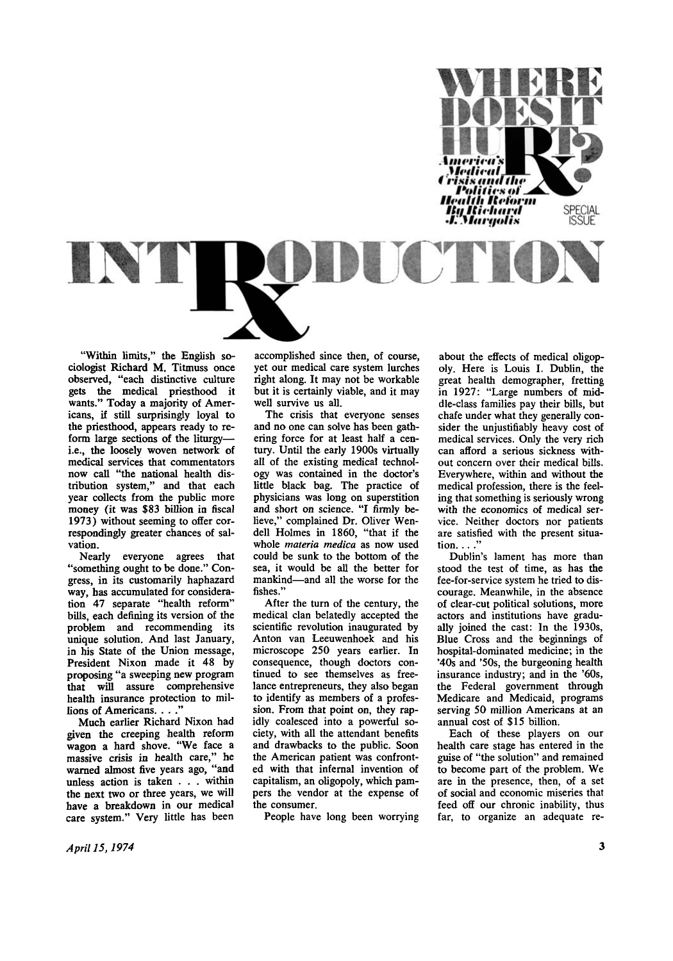

**"Within limits," the English sociologist Richard M . Titmuss once observed, "each distinctive culture gets the medical priesthood it wants." Today a majority of Americans, if still surprisingly loyal to the priesthood, appears ready to reform large sections of the liturgy i.e., the loosely woven network of medical services that commentators now call "the national health distribution system," and that each year collects from the public more money (it was \$83 billion in fiscal 1973) without seeming to offer correspondingly greater chances of salvation.** 

**Nearly everyone agrees that "something ought to be done." Congress, in its customarily haphazard way, has accumulated for consideration 47 separate "health reform" bills, each defining its version of the problem and recommending its unique solution. And last January, in his State of the Union message, President Nixon made it 48 by proposing "a sweeping new program that will assure comprehensive health insurance protection to millions of Americans. . . ."** 

**Much earlier Richard Nixon had given the creeping health reform wagon a hard shove. "We face a massive crisis in health care," he warned almost five years ago, "and unless action is taken . . . within the next two or three years, we will have a breakdown in our medical care system." Very little has been** 

**accomplished since then, of course, yet our medical care system lurches right along. It may not be workable but it is certainly viable, and it may well survive us all.** 

**The crisis that everyone senses and no one can solve has been gathering force for at least half a century. Until the early 1900s virtually all of the existing medical technology was contained in the doctor's little black bag. The practice of physicians was long on superstition and short on science. "I firmly believe," complained Dr. Oliver Wendell Holmes in 1860, "that if the whole** *materia medica* **as now used could be sunk to the bottom of the sea, it would be all the better for mankind—and all the worse for the fishes."** 

**After the turn of the century, the medical clan belatedly accepted the scientific revolution inaugurated by Anton van Leeuwenhoek and his microscope 250 years earlier. In consequence, though doctors continued to see themselves as freelance entrepreneurs, they also began to identify as members of a profession. From that point on, they rapidly coalesced into a powerful society, with all the attendant benefits and drawbacks to the public. Soon the American patient was confronted with that infernal invention of capitalism, an oligopoly, which pampers the vendor at the expense of the consumer.** 

**People have long been worrying** 

**about the effects of medical oligopoly. Here is Louis I. Dublin, the great health demographer, fretting in 1927: "Large numbers of middle-class families pay their bills, but chafe under what they generally consider the unjustifiably heavy cost of medical services. Only the very rich can afford a serious sickness without concern over their medical bills. Everywhere, within and without the medical profession, there is the feeling that something is seriously wrong with the economics of medical service. Neither doctors nor patients are satisfied with the present situation. . . ."** 

**Dublin's lament has more than stood the test of time, as has the fee-for-service system he tried to discourage. Meanwhile, in the absence of clear-cut political solutions, more actors and institutions have gradually joined the cast: In the 1930s, Blue Cross and the beginnings of hospital-dominated medicine; in the '40s and '50s, the burgeoning health insurance industry; and in the '60s, the Federal government through Medicare and Medicaid, programs serving 50 million Americans at an annual cost of \$15 billion.** 

**Each of these players on our health care stage has entered in the guise of "the solution" and remained to become part of the problem. We are in the presence, then, of a set of social and economic miseries that feed off our chronic inability, thus far, to organize an adequate re-**